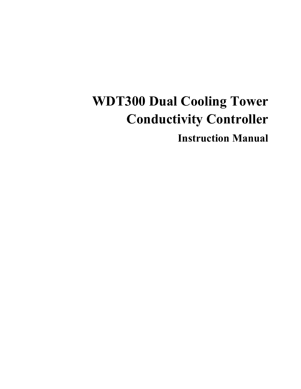## **WDT300 Dual Cooling Tower Conductivity Controller**

**Instruction Manual**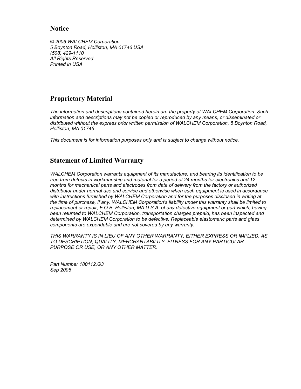#### **Notice**

*© 2006 WALCHEM Corporation 5 Boynton Road, Holliston, MA 01746 USA (508) 429-1110 All Rights Reserved Printed in USA*

#### **Proprietary Material**

*The information and descriptions contained herein are the property of WALCHEM Corporation. Such information and descriptions may not be copied or reproduced by any means, or disseminated or distributed without the express prior written permission of WALCHEM Corporation, 5 Boynton Road, Holliston, MA 01746.* 

*This document is for information purposes only and is subject to change without notice.* 

#### **Statement of Limited Warranty**

*WALCHEM Corporation warrants equipment of its manufacture, and bearing its identification to be free from defects in workmanship and material for a period of 24 months for electronics and 12 months for mechanical parts and electrodes from date of delivery from the factory or authorized distributor under normal use and service and otherwise when such equipment is used in accordance*  with instructions furnished by WALCHEM Corporation and for the purposes disclosed in writing at *the time of purchase, if any. WALCHEM Corporation's liability under this warranty shall be limited to replacement or repair, F.O.B. Holliston, MA U.S.A. of any defective equipment or part which, having been returned to WALCHEM Corporation, transportation charges prepaid, has been inspected and determined by WALCHEM Corporation to be defective. Replaceable elastomeric parts and glass components are expendable and are not covered by any warranty.* 

*THIS WARRANTY IS IN LIEU OF ANY OTHER WARRANTY, EITHER EXPRESS OR IMPLIED, AS TO DESCRIPTION, QUALITY, MERCHANTABILITY, FITNESS FOR ANY PARTICULAR PURPOSE OR USE, OR ANY OTHER MATTER.* 

*Part Number 180112.G3 Sep 2006*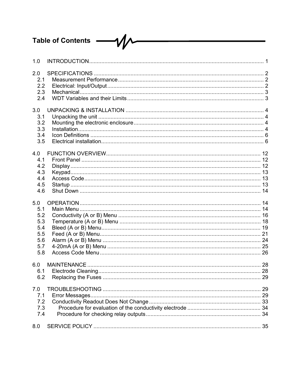# Table of Contents - V

| 1.0 |  |
|-----|--|
| 2.0 |  |
| 2.1 |  |
| 2.2 |  |
| 2.3 |  |
| 2.4 |  |
| 3.0 |  |
| 3.1 |  |
| 3.2 |  |
| 3.3 |  |
| 3.4 |  |
| 3.5 |  |
| 4.0 |  |
| 4.1 |  |
| 4.2 |  |
| 4.3 |  |
| 4.4 |  |
| 4.5 |  |
| 4.6 |  |
| 5.0 |  |
| 5.1 |  |
| 5.2 |  |
| 5.3 |  |
| 5.4 |  |
| 5.5 |  |
| 5.6 |  |
| 5.7 |  |
| 5.8 |  |
| 6.0 |  |
| 6.1 |  |
| 6.2 |  |
| 7.0 |  |
| 7.1 |  |
| 7.2 |  |
| 7.3 |  |
| 7.4 |  |
| 8.0 |  |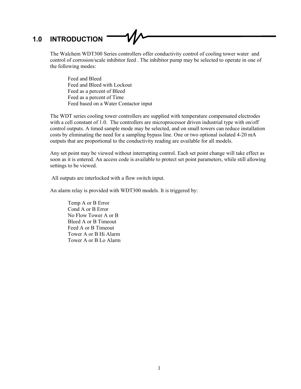#### **1.0 INTRODUCTION**

The Walchem WDT300 Series controllers offer conductivity control of cooling tower water and control of corrosion/scale inhibitor feed . The inhibitor pump may be selected to operate in one of the following modes:

 Feed and Bleed Feed and Bleed with Lockout Feed as a percent of Bleed Feed as a percent of Time Feed based on a Water Contactor input

The WDT series cooling tower controllers are supplied with temperature compensated electrodes with a cell constant of 1.0. The controllers are microprocessor driven industrial type with on/off control outputs. A timed sample mode may be selected, and on small towers can reduce installation costs by eliminating the need for a sampling bypass line. One or two optional isolated 4-20 mA outputs that are proportional to the conductivity reading are available for all models.

Any set point may be viewed without interrupting control. Each set point change will take effect as soon as it is entered. An access code is available to protect set point parameters, while still allowing settings to be viewed.

All outputs are interlocked with a flow switch input.

An alarm relay is provided with WDT300 models. It is triggered by:

 Temp A or B Error Cond A or B Error No Flow Tower A or B Bleed A or B Timeout Feed A or B Timeout Tower A or B Hi Alarm Tower A or B Lo Alarm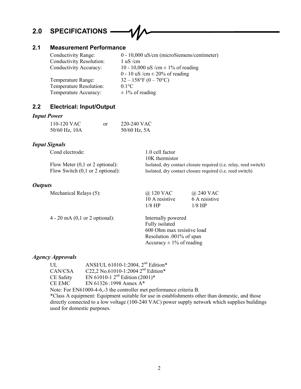#### **2.0 SPECIFICATIONS**

#### **2.1 Measurement Performance**

| Conductivity Range:             | $0 - 10,000$ uS/cm (microSiemens/centimeter) |
|---------------------------------|----------------------------------------------|
| <b>Conductivity Resolution:</b> | $1 \text{ uS}/\text{cm}$                     |
| Conductivity Accuracy:          | 10 - 10,000 uS /cm $\pm$ 1% of reading       |
|                                 | 0 - 10 uS /cm $\pm$ 20% of reading           |
| Temperature Range:              | $32-158$ °F (0 - 70°C)                       |
| Temperature Resolution:         | $0.1$ °C                                     |
| Temperature Accuracy:           | $\pm$ 1% of reading                          |

#### **2.2 Electrical: Input/Output**

#### *Input Power*

| 110-120 VAC   | or | 220-240 VAC  |
|---------------|----|--------------|
| 50/60 Hz, 10A |    | 50/60 Hz, 5A |

#### *Input Signals*

| Cond electrode:                                      | 1.0 cell factor                                                          |
|------------------------------------------------------|--------------------------------------------------------------------------|
|                                                      | 10K thermistor                                                           |
| Flow Meter $(0,1 \text{ or } 2 \text{ optional})$ :  | Isolated, dry contact closure required ( <i>i.e.</i> relay, reed switch) |
| Flow Switch $(0,1 \text{ or } 2 \text{ optional})$ : | Isolated, dry contact closure required ( <i>i.e.</i> reed switch)        |

#### *Outputs*

Mechanical Relays (5):  $\qquad \qquad (\partial)$  120 VAC  $\qquad \qquad (\partial)$  240 VAC

4 - 20 mA (0,1 or 2 optional): Internally powered

 Fully isolated 600 Ohm max resistive load Resolution .001% of span Accuracy  $\pm$  1% of reading

10 A resistive 6 A resistive

#### *Agency Approvals*

| UL.       | ANSI/UL 61010-1:2004, 2 <sup>nd</sup> Edition* |
|-----------|------------------------------------------------|
| CAN/CSA   | C22,2 No.61010-1:2004 2 <sup>nd</sup> Edition* |
| CE Safety | EN 61010-1 $2^{nd}$ Edition (2001)*            |
| CE EMC    | EN 61326 :1998 Annex $A^*$                     |

Note: For EN61000-4-6,-3 the controller met performance criteria B.

1/8 HP 1/8 HP

\*Class A equipment: Equipment suitable for use in establishments other than domestic, and those directly connected to a low voltage (100-240 VAC) power supply network which supplies buildings used for domestic purposes.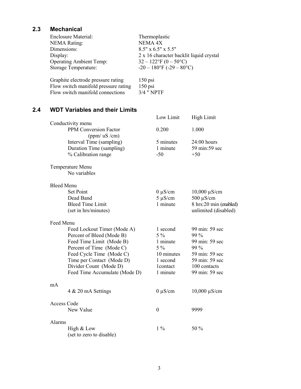#### **2.3 Mechanical**

| <b>Enclosure Material:</b>           | Thermoplastic                           |
|--------------------------------------|-----------------------------------------|
| <b>NEMA Rating:</b>                  | NEMA 4X                                 |
| Dimensions:                          | $8.5"$ x 6.5" x 5.5"                    |
| Display:                             | 2 x 16 character backlit liquid crystal |
| <b>Operating Ambient Temp:</b>       | $32 - 122$ °F (0 – 50°C)                |
| Storage Temperature:                 | $-20 - 180$ °F ( $-29 - 80$ °C)         |
|                                      |                                         |
| Graphite electrode pressure rating   | $150$ psi                               |
| Flow switch manifold pressure rating | $150$ psi                               |
| Flow switch manifold connections     | 3/4 " NPTF                              |

#### **2.4 WDT Variables and their Limits**

|                    |                                                                                                                                                                                                                                      | Low Limit                                                                                | <b>High Limit</b>                                                                                                      |
|--------------------|--------------------------------------------------------------------------------------------------------------------------------------------------------------------------------------------------------------------------------------|------------------------------------------------------------------------------------------|------------------------------------------------------------------------------------------------------------------------|
|                    | Conductivity menu<br>PPM Conversion Factor                                                                                                                                                                                           | 0.200                                                                                    | 1.000                                                                                                                  |
|                    | (ppm/ uS/cm)<br>Interval Time (sampling)<br>Duration Time (sampling)<br>% Calibration range                                                                                                                                          | 5 minutes<br>1 minute<br>$-50$                                                           | $24:00$ hours<br>59 min:59 sec<br>$+50$                                                                                |
|                    |                                                                                                                                                                                                                                      |                                                                                          |                                                                                                                        |
|                    | Temperature Menu<br>No variables                                                                                                                                                                                                     |                                                                                          |                                                                                                                        |
| <b>Bleed Menu</b>  |                                                                                                                                                                                                                                      |                                                                                          |                                                                                                                        |
|                    | <b>Set Point</b><br>Dead Band<br><b>Bleed Time Limit</b><br>(set in hrs/minutes)                                                                                                                                                     | $0 \mu S/cm$<br>$5 \mu S/cm$<br>1 minute                                                 | $10,000 \mu S/cm$<br>$500 \mu S/cm$<br>8 hrs:20 min (enabled)<br>unlimited (disabled)                                  |
| Feed Menu          |                                                                                                                                                                                                                                      |                                                                                          |                                                                                                                        |
|                    | Feed Lockout Timer (Mode A)<br>Percent of Bleed (Mode B)<br>Feed Time Limit (Mode B)<br>Percent of Time (Mode C)<br>Feed Cycle Time (Mode C)<br>Time per Contact (Mode D)<br>Divider Count (Mode D)<br>Feed Time Accumulate (Mode D) | 1 second<br>$5\%$<br>1 minute<br>$5\%$<br>10 minutes<br>1 second<br>1contact<br>1 minute | 99 min: 59 sec<br>99 %<br>99 min: 59 sec<br>99 %<br>59 min: 59 sec<br>59 min: 59 sec<br>100 contacts<br>99 min: 59 sec |
| mA                 | 4 & 20 mA Settings                                                                                                                                                                                                                   | $0 \mu S/cm$                                                                             | $10,000 \mu S/cm$                                                                                                      |
| <b>Access Code</b> |                                                                                                                                                                                                                                      |                                                                                          |                                                                                                                        |
|                    | New Value                                                                                                                                                                                                                            | $\boldsymbol{0}$                                                                         | 9999                                                                                                                   |
| Alarms             |                                                                                                                                                                                                                                      |                                                                                          |                                                                                                                        |
|                    | High & Low<br>(set to zero to disable)                                                                                                                                                                                               | $1\%$                                                                                    | 50 %                                                                                                                   |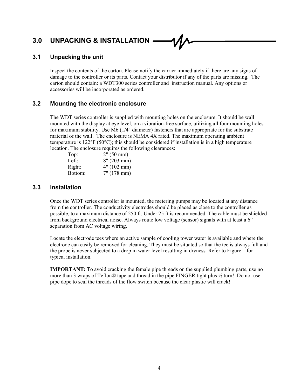### **3.0 UNPACKING & INSTALLATION**

#### **3.1 Unpacking the unit**

Inspect the contents of the carton. Please notify the carrier immediately if there are any signs of damage to the controller or its parts. Contact your distributor if any of the parts are missing. The carton should contain: a WDT300 series controller and instruction manual. Any options or accessories will be incorporated as ordered.

#### **3.2 Mounting the electronic enclosure**

The WDT series controller is supplied with mounting holes on the enclosure. It should be wall mounted with the display at eye level, on a vibration-free surface, utilizing all four mounting holes for maximum stability. Use M6 (1/4" diameter) fasteners that are appropriate for the substrate material of the wall. The enclosure is NEMA 4X rated. The maximum operating ambient temperature is  $122^{\circ}F(50^{\circ}C)$ ; this should be considered if installation is in a high temperature location. The enclosure requires the following clearances:

| Top:    | 2" (50 mm)     |
|---------|----------------|
| Left:   | $8''(203)$ mm) |
| Right:  | 4" (102 mm)    |
| Bottom: | 7" (178 mm)    |

#### **3.3 Installation**

Once the WDT series controller is mounted, the metering pumps may be located at any distance from the controller. The conductivity electrodes should be placed as close to the controller as possible, to a maximum distance of 250 ft. Under 25 ft is recommended. The cable must be shielded from background electrical noise. Always route low voltage (sensor) signals with at least a 6" separation from AC voltage wiring.

Locate the electrode tees where an active sample of cooling tower water is available and where the electrode can easily be removed for cleaning. They must be situated so that the tee is always full and the probe is never subjected to a drop in water level resulting in dryness. Refer to Figure 1 for typical installation.

**IMPORTANT:** To avoid cracking the female pipe threads on the supplied plumbing parts, use no more than 3 wraps of Teflon® tape and thread in the pipe FINGER tight plus ½ turn! Do not use pipe dope to seal the threads of the flow switch because the clear plastic will crack!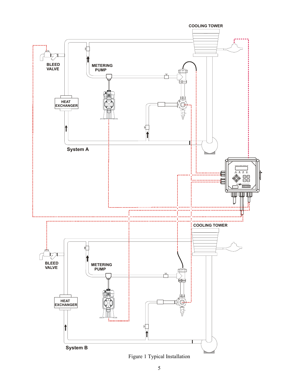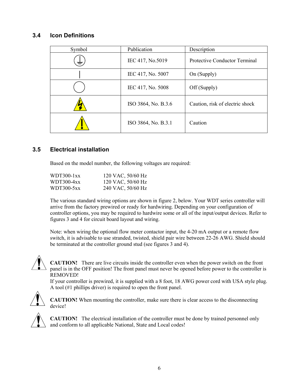#### **3.4 Icon Definitions**

| Symbol | Publication         | Description                          |
|--------|---------------------|--------------------------------------|
| $\pm$  | IEC 417, No.5019    | <b>Protective Conductor Terminal</b> |
|        | IEC 417, No. 5007   | On (Supply)                          |
|        | IEC 417, No. 5008   | Off (Supply)                         |
|        | ISO 3864, No. B.3.6 | Caution, risk of electric shock      |
|        | ISO 3864, No. B.3.1 | Caution                              |

#### **3.5 Electrical installation**

Based on the model number, the following voltages are required:

| WDT300-1xx | 120 VAC, 50/60 Hz |
|------------|-------------------|
| WDT300-4xx | 120 VAC, 50/60 Hz |
| WDT300-5xx | 240 VAC, 50/60 Hz |

The various standard wiring options are shown in figure 2, below. Your WDT series controller will arrive from the factory prewired or ready for hardwiring. Depending on your configuration of controller options, you may be required to hardwire some or all of the input/output devices. Refer to figures 3 and 4 for circuit board layout and wiring.

Note: when wiring the optional flow meter contactor input, the 4-20 mA output or a remote flow switch, it is advisable to use stranded, twisted, shield pair wire between 22-26 AWG. Shield should be terminated at the controller ground stud (see figures 3 and 4).



**CAUTION!** There are live circuits inside the controller even when the power switch on the front panel is in the OFF position! The front panel must never be opened before power to the controller is REMOVED!

If your controller is prewired, it is supplied with a 8 foot, 18 AWG power cord with USA style plug. A tool (#1 phillips driver) is required to open the front panel.



**CAUTION!** When mounting the controller, make sure there is clear access to the disconnecting device!



**CAUTION!** The electrical installation of the controller must be done by trained personnel only and conform to all applicable National, State and Local codes!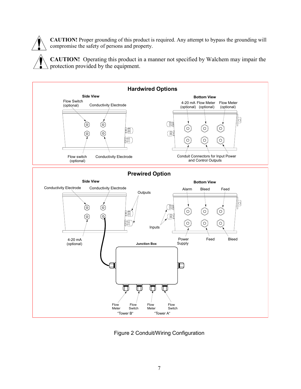**CAUTION!** Proper grounding of this product is required. Any attempt to bypass the grounding will compromise the safety of persons and property.

**CAUTION!** Operating this product in a manner not specified by Walchem may impair the protection provided by the equipment.



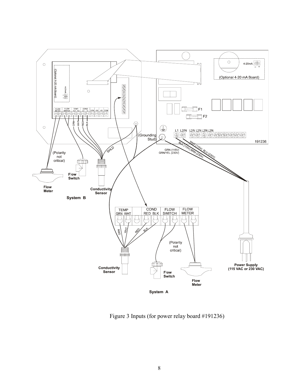

Figure 3 Inputs (for power relay board #191236)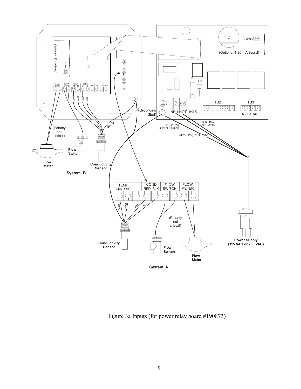

Figure 3a Inputs (for power relay board #190873)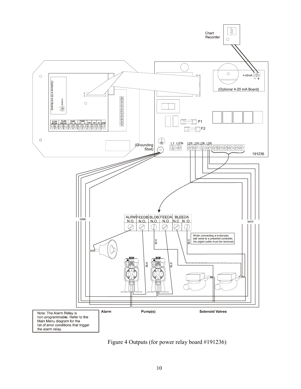

Figure 4 Outputs (for power relay board #191236)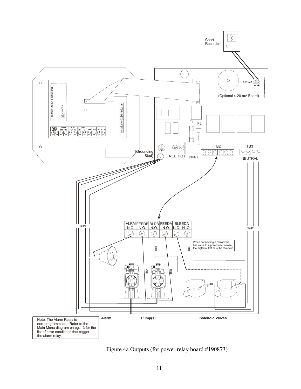

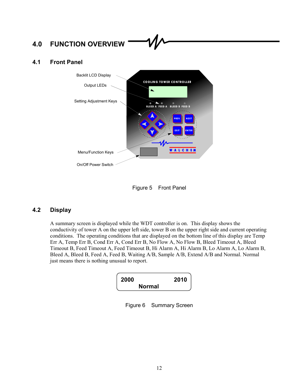#### **4.0 FUNCTION OVERVIEW**

#### **4.1 Front Panel**



Figure 5 Front Panel

#### **4.2 Display**

A summary screen is displayed while the WDT controller is on. This display shows the conductivity of tower A on the upper left side, tower B on the upper right side and current operating conditions. The operating conditions that are displayed on the bottom line of this display are Temp Err A, Temp Err B, Cond Err A, Cond Err B, No Flow A, No Flow B, Bleed Timeout A, Bleed Timeout B, Feed Timeout A, Feed Timeout B, Hi Alarm A, Hi Alarm B, Lo Alarm A, Lo Alarm B, Bleed A, Bleed B, Feed A, Feed B, Waiting A/B, Sample A/B, Extend A/B and Normal. Normal just means there is nothing unusual to report.

| 2000<br>2010  |
|---------------|
| <b>Normal</b> |

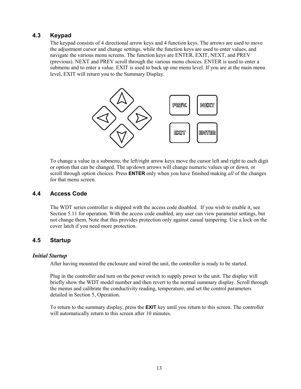#### **4.3 Keypad**

The keypad consists of 4 directional arrow keys and 4 function keys. The arrows are used to move the adjustment cursor and change settings, while the function keys are used to enter values, and navigate the various menu screens. The function keys are ENTER, EXIT, NEXT, and PREV (previous). NEXT and PREV scroll through the various menu choices. ENTER is used to enter a submenu and to enter a value. EXIT is used to back up one menu level. If you are at the main menu level, EXIT will return you to the Summary Display.



To change a value in a submenu, the left/right arrow keys move the cursor left and right to each digit or option that can be changed. The up/down arrows will change numeric values up or down, or scroll through option choices. Press **ENTER** only when you have finished making *all* of the changes for that menu screen.

#### **4.4 Access Code**

The WDT series controller is shipped with the access code disabled. If you wish to enable it, see Section 5.11 for operation. With the access code enabled, any user can view parameter settings, but not change them. Note that this provides protection only against casual tampering. Use a lock on the cover latch if you need more protection.

#### **4.5 Startup**

#### *Initial Startup*

After having mounted the enclosure and wired the unit, the controller is ready to be started.

Plug in the controller and turn on the power switch to supply power to the unit. The display will briefly show the WDT model number and then revert to the normal summary display. Scroll through the menus and calibrate the conductivity reading, temperature, and set the control parameters detailed in Section 5, Operation.

To return to the summary display, press the **EXIT** key until you return to this screen. The controller will automatically return to this screen after 10 minutes.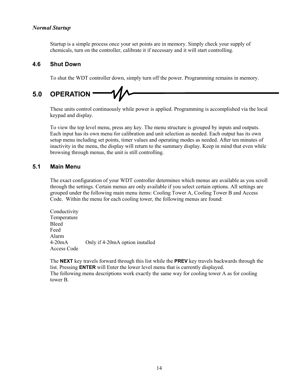#### *Normal Startup*

Startup is a simple process once your set points are in memory. Simply check your supply of chemicals, turn on the controller, calibrate it if necessary and it will start controlling.

#### **4.6 Shut Down**

To shut the WDT controller down, simply turn off the power. Programming remains in memory.

## **5.0 OPERATION**

These units control continuously while power is applied. Programming is accomplished via the local keypad and display.

To view the top level menu, press any key. The menu structure is grouped by inputs and outputs. Each input has its own menu for calibration and unit selection as needed. Each output has its own setup menu including set points, timer values and operating modes as needed. After ten minutes of inactivity in the menu, the display will return to the summary display. Keep in mind that even while browsing through menus, the unit is still controlling.

#### **5.1 Main Menu**

The exact configuration of your WDT controller determines which menus are available as you scroll through the settings. Certain menus are only available if you select certain options. All settings are grouped under the following main menu items: Cooling Tower A, Cooling Tower B and Access Code. Within the menu for each cooling tower, the following menus are found:

Conductivity Temperature Bleed Feed Alarm 4-20mA Only if 4-20mA option installed Access Code

The **NEXT** key travels forward through this list while the **PREV** key travels backwards through the list. Pressing **ENTER** will Enter the lower level menu that is currently displayed. The following menu descriptions work exactly the same way for cooling tower A as for cooling tower B.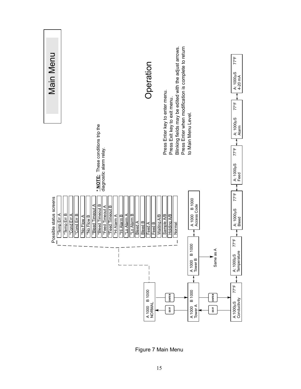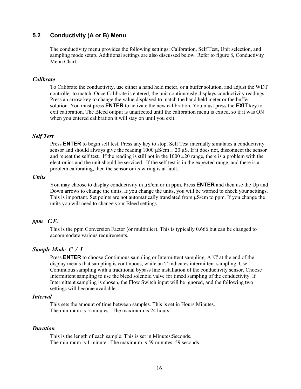#### **5.2 Conductivity (A or B) Menu**

The conductivity menu provides the following settings: Calibration, Self Test, Unit selection, and sampling mode setup. Additional settings are also discussed below. Refer to figure 8, Conductivity Menu Chart.

#### *Calibrate*

To Calibrate the conductivity, use either a hand held meter, or a buffer solution, and adjust the WDT controller to match. Once Calibrate is entered, the unit continuously displays conductivity readings. Press an arrow key to change the value displayed to match the hand held meter or the buffer solution. You must press **ENTER** to activate the new calibration. You must press the **EXIT** key to exit calibration. The Bleed output is unaffected until the calibration menu is exited, so if it was ON when you entered calibration it will stay on until you exit.

#### *Self Test*

Press **ENTER** to begin self test. Press any key to stop. Self Test internally simulates a conductivity sensor and should always give the reading  $1000 \text{ }\mu\text{S/cm} \pm 20 \text{ }\mu\text{S}$ . If it does not, disconnect the sensor and repeat the self test. If the reading is still not in the  $1000 \pm 20$  range, there is a problem with the electronics and the unit should be serviced. If the self test is in the expected range, and there is a problem calibrating, then the sensor or its wiring is at fault.

#### *Units*

You may choose to display conductivity in  $\mu$ S/cm or in ppm. Press **ENTER** and then use the Up and Down arrows to change the units. If you change the units, you will be warned to check your settings. This is important. Set points are not automatically translated from µS/cm to ppm. If you change the units you will need to change your Bleed settings.

#### *ppm C.F.*

This is the ppm Conversion Factor (or multiplier). This is typically 0.666 but can be changed to accommodate various requirements.

#### *Sample Mode C / I*

Press **ENTER** to choose Continuous sampling or Intermittent sampling. A 'C' at the end of the display means that sampling is continuous, while an 'I' indicates intermittent sampling. Use Continuous sampling with a traditional bypass line installation of the conductivity sensor. Choose Intermittent sampling to use the bleed solenoid valve for timed sampling of the conductivity. If Intermittent sampling is chosen, the Flow Switch input will be ignored, and the following two settings will become available:

#### *Interval*

This sets the amount of time between samples. This is set in Hours:Minutes. The minimum is 5 minutes. The maximum is 24 hours.

#### *Duration*

This is the length of each sample. This is set in Minutes:Seconds. The minimum is 1 minute. The maximum is 59 minutes; 59 seconds.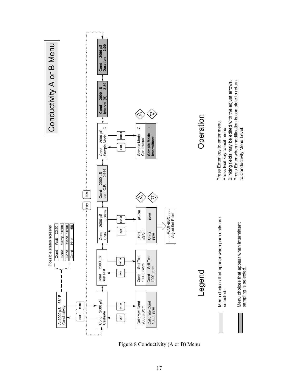![](_page_19_Figure_0.jpeg)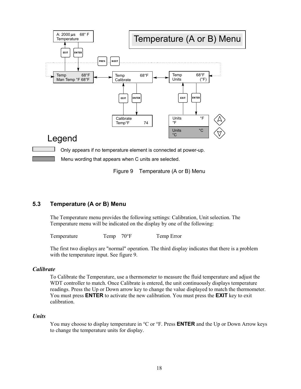![](_page_20_Figure_0.jpeg)

Figure 9 Temperature (A or B) Menu

#### **5.3 Temperature (A or B) Menu**

The Temperature menu provides the following settings: Calibration, Unit selection. The Temperature menu will be indicated on the display by one of the following:

Temperature Temp 70°F Temp Error

The first two displays are "normal" operation. The third display indicates that there is a problem with the temperature input. See figure 9.

#### *Calibrate*

To Calibrate the Temperature, use a thermometer to measure the fluid temperature and adjust the WDT controller to match. Once Calibrate is entered, the unit continuously displays temperature readings. Press the Up or Down arrow key to change the value displayed to match the thermometer. You must press **ENTER** to activate the new calibration. You must press the **EXIT** key to exit calibration.

#### *Units*

You may choose to display temperature in °C or °F. Press **ENTER** and the Up or Down Arrow keys to change the temperature units for display.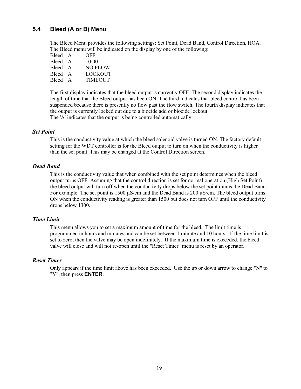#### **5.4 Bleed (A or B) Menu**

The Bleed Menu provides the following settings: Set Point, Dead Band, Control Direction, HOA. The Bleed menu will be indicated on the display by one of the following:

| Bleed A | OFF            |
|---------|----------------|
| Bleed A | 10:00          |
| Bleed A | NO FLOW        |
| Bleed A | LOCKOUT        |
| Bleed A | <b>TIMEOUT</b> |

The first display indicates that the bleed output is currently OFF. The second display indicates the length of time that the Bleed output has been ON. The third indicates that bleed control has been suspended because there is presently no flow past the flow switch. The fourth display indicates that the output is currently locked out due to a biocide add or biocide lockout. The 'A' indicates that the output is being controlled automatically.

#### *Set Point*

This is the conductivity value at which the bleed solenoid valve is turned ON. The factory default setting for the WDT controller is for the Bleed output to turn on when the conductivity is higher than the set point. This may be changed at the Control Direction screen.

#### *Dead Band*

This is the conductivity value that when combined with the set point determines when the bleed output turns OFF. Assuming that the control direction is set for normal operation (High Set Point) the bleed output will turn off when the conductivity drops below the set point minus the Dead Band. For example: The set point is 1500  $\mu$ S/cm and the Dead Band is 200  $\mu$ S/cm. The bleed output turns ON when the conductivity reading is greater than 1500 but does not turn OFF until the conductivity drops below 1300.

#### *Time Limit*

This menu allows you to set a maximum amount of time for the bleed. The limit time is programmed in hours and minutes and can be set between 1 minute and 10 hours. If the time limit is set to zero, then the valve may be open indefinitely. If the maximum time is exceeded, the bleed valve will close and will not re-open until the "Reset Timer" menu is reset by an operator.

#### *Reset Timer*

Only appears if the time limit above has been exceeded. Use the up or down arrow to change "N" to "Y", then press **ENTER**.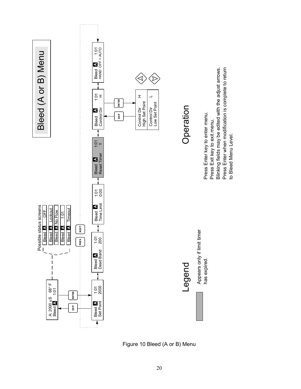![](_page_22_Figure_0.jpeg)

Figure 10 Bleed (A or B) Menu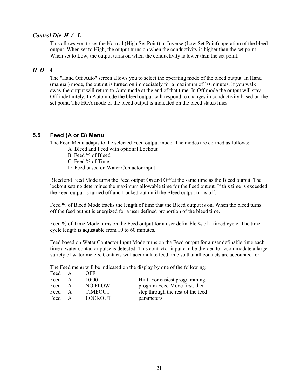#### *Control Dir H / L*

This allows you to set the Normal (High Set Point) or Inverse (Low Set Point) operation of the bleed output. When set to High, the output turns on when the conductivity is higher than the set point. When set to Low, the output turns on when the conductivity is lower than the set point.

#### *H O A*

The "Hand Off Auto" screen allows you to select the operating mode of the bleed output. In Hand (manual) mode, the output is turned on immediately for a maximum of 10 minutes. If you walk away the output will return to Auto mode at the end of that time. In Off mode the output will stay Off indefinitely. In Auto mode the bleed output will respond to changes in conductivity based on the set point. The HOA mode of the bleed output is indicated on the bleed status lines.

#### **5.5 Feed (A or B) Menu**

The Feed Menu adapts to the selected Feed output mode. The modes are defined as follows:

- A Bleed and Feed with optional Lockout
- B Feed % of Bleed
- C Feed % of Time
- D Feed based on Water Contactor input

Bleed and Feed Mode turns the Feed output On and Off at the same time as the Bleed output. The lockout setting determines the maximum allowable time for the Feed output. If this time is exceeded the Feed output is turned off and Locked out until the Bleed output turns off.

Feed % of Bleed Mode tracks the length of time that the Bleed output is on. When the bleed turns off the feed output is energized for a user defined proportion of the bleed time.

Feed % of Time Mode turns on the Feed output for a user definable % of a timed cycle. The time cycle length is adjustable from 10 to 60 minutes.

Feed based on Water Contactor Input Mode turns on the Feed output for a user definable time each time a water contactor pulse is detected. This contactor input can be divided to accommodate a large variety of water meters. Contacts will accumulate feed time so that all contacts are accounted for.

The Feed menu will be indicated on the display by one of the following:

| Feed | $\overline{A}$ | OFF            |                                   |
|------|----------------|----------------|-----------------------------------|
| Feed | $\mathsf{A}$   | 10:00          | Hint: For easiest programming,    |
| Feed | $\mathbf{A}$   | <b>NO FLOW</b> | program Feed Mode first, then     |
| Feed | $\mathbf{A}$   | <b>TIMEOUT</b> | step through the rest of the feed |
| Feed | A              | <b>LOCKOUT</b> | parameters.                       |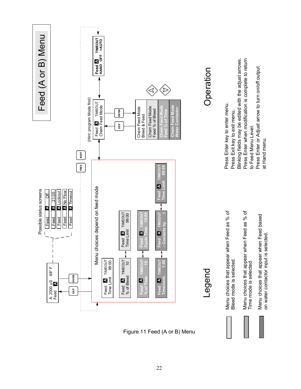![](_page_24_Figure_0.jpeg)

Figure 11 Feed (A or B) Menu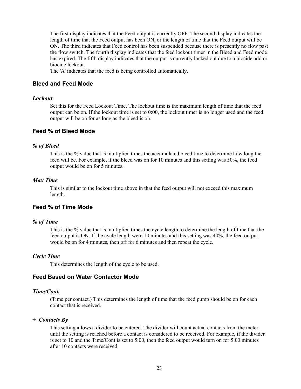The first display indicates that the Feed output is currently OFF. The second display indicates the length of time that the Feed output has been ON, or the length of time that the Feed output will be ON. The third indicates that Feed control has been suspended because there is presently no flow past the flow switch. The fourth display indicates that the feed lockout timer in the Bleed and Feed mode has expired. The fifth display indicates that the output is currently locked out due to a biocide add or biocide lockout.

The 'A' indicates that the feed is being controlled automatically.

#### **Bleed and Feed Mode**

#### *Lockout*

Set this for the Feed Lockout Time. The lockout time is the maximum length of time that the feed output can be on. If the lockout time is set to 0:00, the lockout timer is no longer used and the feed output will be on for as long as the bleed is on.

#### **Feed % of Bleed Mode**

#### *% of Bleed*

This is the % value that is multiplied times the accumulated bleed time to determine how long the feed will be. For example, if the bleed was on for 10 minutes and this setting was 50%, the feed output would be on for 5 minutes.

#### *Max Time*

This is similar to the lockout time above in that the feed output will not exceed this maximum length.

#### **Feed % of Time Mode**

#### *% of Time*

This is the % value that is multiplied times the cycle length to determine the length of time that the feed output is ON. If the cycle length were 10 minutes and this setting was 40%, the feed output would be on for 4 minutes, then off for 6 minutes and then repeat the cycle.

#### *Cycle Time*

This determines the length of the cycle to be used.

#### **Feed Based on Water Contactor Mode**

#### *Time/Cont.*

(Time per contact.) This determines the length of time that the feed pump should be on for each contact that is received.

#### *÷ Contacts By*

This setting allows a divider to be entered. The divider will count actual contacts from the meter until the setting is reached before a contact is considered to be received. For example, if the divider is set to 10 and the Time/Cont is set to 5:00, then the feed output would turn on for 5:00 minutes after 10 contacts were received.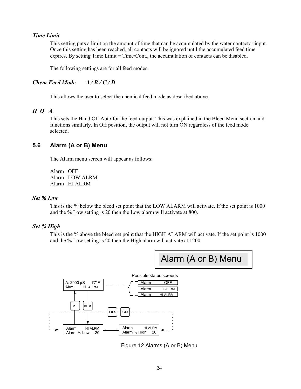#### *Time Limit*

This setting puts a limit on the amount of time that can be accumulated by the water contactor input. Once this setting has been reached, all contacts will be ignored until the accumulated feed time expires. By setting Time Limit = Time/Cont., the accumulation of contacts can be disabled.

The following settings are for all feed modes.

#### *Chem Feed Mode A / B / C / D*

This allows the user to select the chemical feed mode as described above.

#### *H O A*

This sets the Hand Off Auto for the feed output. This was explained in the Bleed Menu section and functions similarly. In Off position, the output will not turn ON regardless of the feed mode selected.

#### **5.6 Alarm (A or B) Menu**

The Alarm menu screen will appear as follows:

Alarm OFF Alarm LOW ALRM Alarm HI ALRM

#### *Set % Low*

This is the % below the bleed set point that the LOW ALARM will activate. If the set point is 1000 and the % Low setting is 20 then the Low alarm will activate at 800.

#### *Set % High*

This is the % above the bleed set point that the HIGH ALARM will activate. If the set point is 1000 and the % Low setting is 20 then the High alarm will activate at 1200.

![](_page_26_Figure_14.jpeg)

![](_page_26_Figure_15.jpeg)

Figure 12 Alarms (A or B) Menu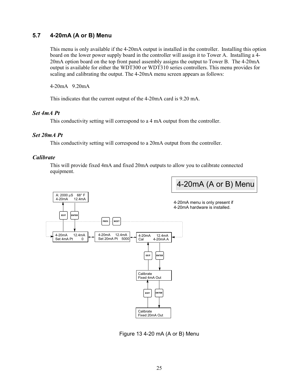#### **5.7 4-20mA (A or B) Menu**

This menu is only available if the 4-20mA output is installed in the controller. Installing this option board on the lower power supply board in the controller will assign it to Tower A. Installing a 4- 20mA option board on the top front panel assembly assigns the output to Tower B. The 4-20mA output is available for either the WDT300 or WDT310 series controllers. This menu provides for scaling and calibrating the output. The 4-20mA menu screen appears as follows:

4-20mA 9.20mA

This indicates that the current output of the 4-20mA card is 9.20 mA.

#### *Set 4mA Pt*

This conductivity setting will correspond to a 4 mA output from the controller.

#### *Set 20mA Pt*

This conductivity setting will correspond to a 20mA output from the controller.

#### *Calibrate*

This will provide fixed 4mA and fixed 20mA outputs to allow you to calibrate connected equipment.

![](_page_27_Figure_10.jpeg)

Figure 13 4-20 mA (A or B) Menu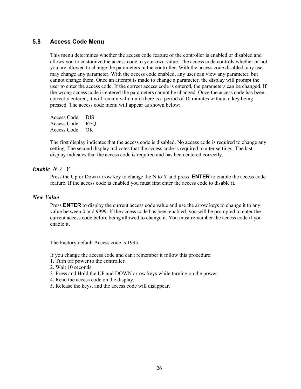#### **5.8 Access Code Menu**

This menu determines whether the access code feature of the controller is enabled or disabled and allows you to customize the access code to your own value. The access code controls whether or not you are allowed to change the parameters in the controller. With the access code disabled, any user may change any parameter. With the access code enabled, any user can view any parameter, but cannot change them. Once an attempt is made to change a parameter, the display will prompt the user to enter the access code. If the correct access code is entered, the parameters can be changed. If the wrong access code is entered the parameters cannot be changed. Once the access code has been correctly entered, it will remain valid until there is a period of 10 minutes without a key being pressed. The access code menu will appear as shown below:

| Access Code | DIS |
|-------------|-----|
| Access Code | REO |
| Access Code | OK. |

The first display indicates that the access code is disabled. No access code is required to change any setting. The second display indicates that the access code is required to alter settings. The last display indicates that the access code is required and has been entered correctly.

#### *Enable N / Y*

Press the Up or Down arrow key to change the N to Y and press **ENTER** to enable the access code feature. If the access code is enabled you must first enter the access code to disable it.

#### *New Value*

Press **ENTER** to display the current access code value and use the arrow keys to change it to any value between 0 and 9999. If the access code has been enabled, you will be prompted to enter the current access code before being allowed to change it. You must remember the access code if you enable it.

The Factory default Access code is 1995.

If you change the access code and can't remember it follow this procedure:

- 1. Turn off power to the controller.
- 2. Wait 10 seconds.
- 3. Press and Hold the UP and DOWN arrow keys while turning on the power.
- 4. Read the access code on the display.
- 5. Release the keys, and the access code will disappear.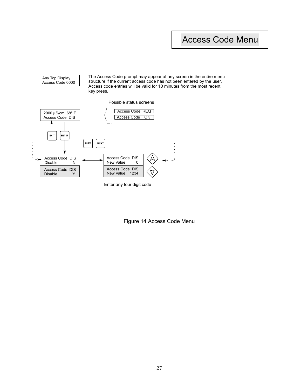### Access Code Menu

![](_page_29_Figure_1.jpeg)

![](_page_29_Figure_2.jpeg)

Any Top Display

Enter any four digit code

Figure 14 Access Code Menu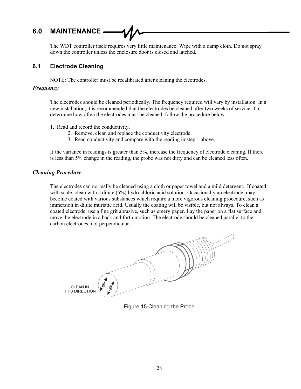#### **6.0 MAINTENANCE**

The WDT controller itself requires very little maintenance. Wipe with a damp cloth. Do not spray down the controller unless the enclosure door is closed and latched.

#### **6.1 Electrode Cleaning**

NOTE: The controller must be recalibrated after cleaning the electrodes.

#### *Frequency*

The electrodes should be cleaned periodically. The frequency required will vary by installation. In a new installation, it is recommended that the electrodes be cleaned after two weeks of service. To determine how often the electrodes must be cleaned, follow the procedure below.

- 1. Read and record the conductivity.
	- 2. Remove, clean and replace the conductivity electrode.
	- 3. Read conductivity and compare with the reading in step 1 above.

If the variance in readings is greater than 5%, increase the frequency of electrode cleaning. If there is less than 5% change in the reading, the probe was not dirty and can be cleaned less often.

#### *Cleaning Procedure*

The electrodes can normally be cleaned using a cloth or paper towel and a mild detergent. If coated with scale, clean with a dilute (5%) hydrochloric acid solution. Occasionally an electrode may become coated with various substances which require a more vigorous cleaning procedure, such as immersion in dilute muriatic acid. Usually the coating will be visible, but not always. To clean a coated electrode, use a fine grit abrasive, such as emery paper. Lay the paper on a flat surface and move the electrode in a back and forth motion. The electrode should be cleaned parallel to the carbon electrodes, not perpendicular.

![](_page_30_Figure_12.jpeg)

Figure 15 Cleaning the Probe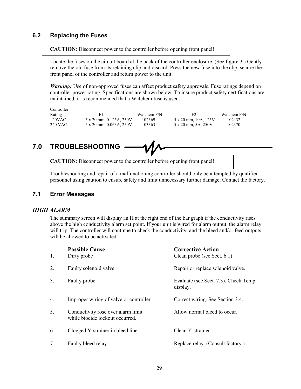#### **6.2 Replacing the Fuses**

**CAUTION**: Disconnect power to the controller before opening front panel!

Locate the fuses on the circuit board at the back of the controller enclosure. (See figure 3.) Gently remove the old fuse from its retaining clip and discard. Press the new fuse into the clip, secure the front panel of the controller and return power to the unit.

*Warning:* Use of non-approved fuses can affect product safety approvals. Fuse ratings depend on controller power rating. Specifications are shown below. To insure product safety certifications are maintained, it is recommended that a Walchem fuse is used.

Controller

120VAC 5 x 20 mm, 0.125A, 250V 102369 5 x 20 mm, 10A, 125V 102432<br>240 VAC 5 x 20 mm, 0.063A, 250V 103363 5 x 20 mm, 5A, 250V 102370 5 x 20 mm, 0.063A, 250V

Rating F1 Walchem P/N F2 Walchem P/N F2 Walchem P/N F2 Walchem P/N F2 Walchem P/N F2 Walchem P/N F2 Walchem P/N F2 Walchem P/N F2 Walchem P/N F2 Walchem P/N F2 Walchem P/N F2 Walchem P/N F2 Walchem P/N F2 Walchem P/N F2 Wa

### **7.0 TROUBLESHOOTING**

**CAUTION**: Disconnect power to the controller before opening front panel!

Troubleshooting and repair of a malfunctioning controller should only be attempted by qualified personnel using caution to ensure safety and limit unnecessary further damage. Contact the factory.

#### **7.1 Error Messages**

#### *HIGH ALARM*

The summary screen will display an H at the right end of the bar graph if the conductivity rises above the high conductivity alarm set point. If your unit is wired for alarm output, the alarm relay will trip. The controller will continue to check the conductivity, and the bleed and/or feed outputs will be allowed to be activated.

| 1.               | <b>Possible Cause</b><br>Dirty probe                                  | <b>Corrective Action</b><br>Clean probe (see Sect. 6.1) |
|------------------|-----------------------------------------------------------------------|---------------------------------------------------------|
| 2.               | Faulty solenoid valve                                                 | Repair or replace solenoid valve.                       |
| 3.               | Faulty probe                                                          | Evaluate (see Sect. 7.3). Check Temp<br>display.        |
| $\overline{4}$ . | Improper wiring of valve or controller                                | Correct wiring. See Section 3.4.                        |
| 5.               | Conductivity rose over alarm limit<br>while biocide lockout occurred. | Allow normal bleed to occur.                            |
| 6.               | Clogged Y-strainer in bleed line                                      | Clean Y-strainer.                                       |
| 7.               | Faulty bleed relay                                                    | Replace relay. (Consult factory.)                       |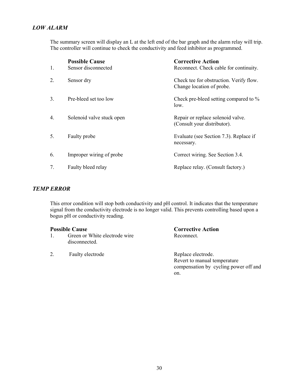#### *LOW ALARM*

The summary screen will display an L at the left end of the bar graph and the alarm relay will trip. The controller will continue to check the conductivity and feed inhibitor as programmed.

| 1.             | <b>Possible Cause</b><br>Sensor disconnected | <b>Corrective Action</b><br>Reconnect. Check cable for continuity.   |
|----------------|----------------------------------------------|----------------------------------------------------------------------|
| 2.             | Sensor dry                                   | Check tee for obstruction. Verify flow.<br>Change location of probe. |
| 3 <sub>1</sub> | Pre-bleed set too low                        | Check pre-bleed setting compared to %<br>low.                        |
| 4.             | Solenoid valve stuck open                    | Repair or replace solenoid valve.<br>(Consult your distributor).     |
| 5.             | Faulty probe                                 | Evaluate (see Section 7.3). Replace if<br>necessary.                 |
| 6.             | Improper wiring of probe                     | Correct wiring. See Section 3.4.                                     |
| 7.             | Faulty bleed relay                           | Replace relay. (Consult factory.)                                    |

#### *TEMP ERROR*

This error condition will stop both conductivity and pH control. It indicates that the temperature signal from the conductivity electrode is no longer valid. This prevents controlling based upon a bogus pH or conductivity reading.

- 1. Green or White electrode wire Reconnect. disconnected.
- 2. Faulty electrode Replace electrode.

### **Possible Cause Corrective Action**

 Revert to manual temperature compensation by cycling power off and on.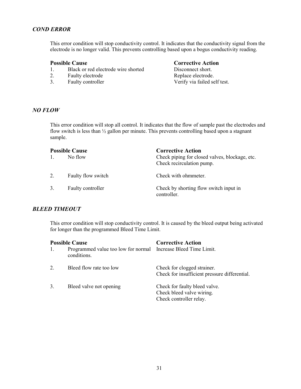#### *COND ERROR*

This error condition will stop conductivity control. It indicates that the conductivity signal from the electrode is no longer valid. This prevents controlling based upon a bogus conductivity reading.

- 1. Black or red electrode wire shorted Disconnect short.
- 2. Faulty electrode Replace electrode.
- 

#### **Possible Cause Corrective Action**

3. Faulty controller Verify via failed self test.

#### *NO FLOW*

This error condition will stop all control. It indicates that the flow of sample past the electrodes and flow switch is less than  $\frac{1}{2}$  gallon per minute. This prevents controlling based upon a stagnant sample.

| <b>Possible Cause</b> |                    | <b>Corrective Action</b>                                                    |
|-----------------------|--------------------|-----------------------------------------------------------------------------|
|                       | No flow            | Check piping for closed valves, blockage, etc.<br>Check recirculation pump. |
| 2.                    | Faulty flow switch | Check with ohmmeter.                                                        |
| 3.                    | Faulty controller  | Check by shorting flow switch input in<br>controller.                       |

#### *BLEED TIMEOUT*

This error condition will stop conductivity control. It is caused by the bleed output being activated for longer than the programmed Bleed Time Limit.

| <b>Possible Cause</b> |                                                                               | <b>Corrective Action</b>                                                              |
|-----------------------|-------------------------------------------------------------------------------|---------------------------------------------------------------------------------------|
|                       | Programmed value too low for normal Increase Bleed Time Limit.<br>conditions. |                                                                                       |
| 2.                    | Bleed flow rate too low                                                       | Check for clogged strainer.<br>Check for insufficient pressure differential.          |
| 3.                    | Bleed valve not opening                                                       | Check for faulty bleed valve.<br>Check bleed valve wiring.<br>Check controller relay. |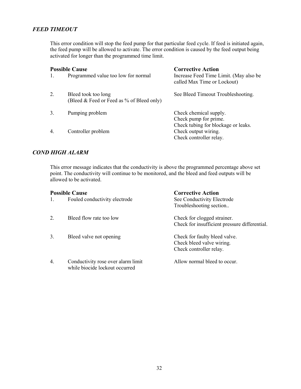#### *FEED TIMEOUT*

This error condition will stop the feed pump for that particular feed cycle. If feed is initiated again, the feed pump will be allowed to activate. The error condition is caused by the feed output being activated for longer than the programmed time limit.

| <b>Possible Cause</b> |                                                                  | <b>Corrective Action</b>                                                               |
|-----------------------|------------------------------------------------------------------|----------------------------------------------------------------------------------------|
| -1.                   | Programmed value too low for normal                              | Increase Feed Time Limit. (May also be<br>called Max Time or Lockout)                  |
| 2.                    | Bleed took too long<br>(Bleed & Feed or Feed as % of Bleed only) | See Bleed Timeout Troubleshooting.                                                     |
| 3.                    | Pumping problem                                                  | Check chemical supply.<br>Check pump for prime.                                        |
| 4                     | Controller problem                                               | Check tubing for blockage or leaks.<br>Check output wiring.<br>Check controller relay. |

#### *COND HIGH ALARM*

This error message indicates that the conductivity is above the programmed percentage above set point. The conductivity will continue to be monitored, and the bleed and feed outputs will be allowed to be activated.

| <b>Possible Cause</b> |                                                                      | <b>Corrective Action</b>                                                              |
|-----------------------|----------------------------------------------------------------------|---------------------------------------------------------------------------------------|
| 1.                    | Fouled conductivity electrode                                        | See Conductivity Electrode<br>Troubleshooting section                                 |
| 2                     | Bleed flow rate too low                                              | Check for clogged strainer.<br>Check for insufficient pressure differential.          |
| 3.                    | Bleed valve not opening                                              | Check for faulty bleed valve.<br>Check bleed valve wiring.<br>Check controller relay. |
| $\overline{4}$ .      | Conductivity rose over alarm limit<br>while biocide lockout occurred | Allow normal bleed to occur.                                                          |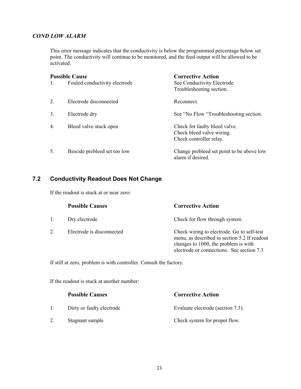#### *COND LOW ALARM*

This error message indicates that the conductivity is below the programmed percentage below set point. The conductivity will continue to be monitored, and the feed output will be allowed to be activated.

| <b>Possible Cause</b> |                               | <b>Corrective Action</b>                                                              |
|-----------------------|-------------------------------|---------------------------------------------------------------------------------------|
| $\mathbf{1}$ .        | Fouled conductivity electrode | See Conductivity Electrode<br>Troubleshooting section.                                |
| 2                     | Electrode disconnected        | Reconnect.                                                                            |
| 3.                    | Electrode dry                 | See "No Flow "Troubleshooting section.                                                |
| $\overline{4}$ .      | Bleed valve stuck open        | Check for faulty bleed valve.<br>Check bleed valve wiring.<br>Check controller relay. |
| 5.                    | Biocide prebleed set too low  | Change prebleed set point to be above low<br>alarm if desired.                        |

#### **7.2 Conductivity Readout Does Not Change**

If the readout is stuck at or near zero:

|         | <b>Possible Causes</b>    | <b>Corrective Action</b>                                                                                                                                                        |
|---------|---------------------------|---------------------------------------------------------------------------------------------------------------------------------------------------------------------------------|
| $1_{-}$ | Dry electrode             | Check for flow through system.                                                                                                                                                  |
|         | Electrode is disconnected | Check wiring to electrode. Go to self-test<br>menu, as described in section 5.2 If readout<br>changes to 1000, the problem is with<br>electrode or connections. See section 7.3 |

If still at zero, problem is with controller. Consult the factory.

If the readout is stuck at another number:

|    | <b>Possible Causes</b>    | <b>Corrective Action</b>          |
|----|---------------------------|-----------------------------------|
|    | Dirty or faulty electrode | Evaluate electrode (section 7.3). |
| 2. | Stagnant sample           | Check system for proper flow.     |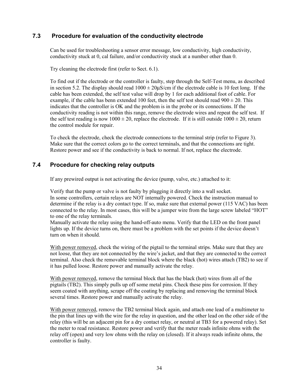#### **7.3 Procedure for evaluation of the conductivity electrode**

Can be used for troubleshooting a sensor error message, low conductivity, high conductivity, conductivity stuck at 0, cal failure, and/or conductivity stuck at a number other than 0.

Try cleaning the electrode first (refer to Sect. 6.1).

To find out if the electrode or the controller is faulty, step through the Self-Test menu, as described in section 5.2. The display should read  $1000 \pm 20 \mu s/cm$  if the electrode cable is 10 feet long. If the cable has been extended, the self test value will drop by 1 for each additional foot of cable. For example, if the cable has benn extended 100 feet, then the self test should read  $900 \pm 20$ . This indicates that the controller is OK and the problem is in the probe or its connections. If the conductivity reading is not within this range, remove the electrode wires and repeat the self test. If the self test reading is now  $1000 \pm 20$ , replace the electrode. If it is still outside  $1000 \pm 20$ , return the control module for repair.

To check the electrode, check the electrode connections to the terminal strip (refer to Figure 3). Make sure that the correct colors go to the correct terminals, and that the connections are tight. Restore power and see if the conductivity is back to normal. If not, replace the electrode.

#### **7.4 Procedure for checking relay outputs**

If any prewired output is not activating the device (pump, valve, etc.) attached to it:

Verify that the pump or valve is not faulty by plugging it directly into a wall socket. In some controllers, certain relays are NOT internally powered. Check the instruction manual to determine if the relay is a dry contact type. If so, make sure that external power (115 VAC) has been connected to the relay. In most cases, this will be a jumper wire from the large screw labeled "HOT" to one of the relay terminals.

Manually activate the relay using the hand-off-auto menu. Verify that the LED on the front panel lights up. If the device turns on, there must be a problem with the set points if the device doesn't turn on when it should.

With power removed, check the wiring of the pigtail to the terminal strips. Make sure that they are not loose, that they are not connected by the wire's jacket, and that they are connected to the correct terminal. Also check the removable terminal block where the black (hot) wires attach (TB2) to see if it has pulled loose. Restore power and manually activate the relay.

With power removed, remove the terminal block that has the black (hot) wires from all of the pigtails (TB2). This simply pulls up off some metal pins. Check these pins for corrosion. If they seem coated with anything, scrape off the coating by replacing and removing the terminal block several times. Restore power and manually activate the relay.

With power removed, remove the TB2 terminal block again, and attach one lead of a multimeter to the pin that lines up with the wire for the relay in question, and the other lead on the other side of the relay (this will be an adjacent pin for a dry contact relay, or neutral at TB3 for a powered relay). Set the meter to read resistance. Restore power and verify that the meter reads infinite ohms with the relay off (open) and very low ohms with the relay on (closed). If it always reads infinite ohms, the controller is faulty.